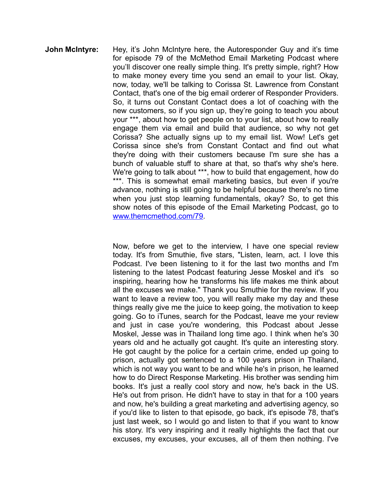**John McIntyre:** Hey, it's John McIntyre here, the Autoresponder Guy and it's time for episode 79 of the McMethod Email Marketing Podcast where you'll discover one really simple thing. It's pretty simple, right? How to make money every time you send an email to your list. Okay, now, today, we'll be talking to Corissa St. Lawrence from Constant Contact, that's one of the big email orderer of Responder Providers. So, it turns out Constant Contact does a lot of coaching with the new customers, so if you sign up, they're going to teach you about your \*\*\*, about how to get people on to your list, about how to really engage them via email and build that audience, so why not get Corissa? She actually signs up to my email list. Wow! Let's get Corissa since she's from Constant Contact and find out what they're doing with their customers because I'm sure she has a bunch of valuable stuff to share at that, so that's why she's here. We're going to talk about \*\*\*, how to build that engagement, how do \*\*\*. This is somewhat email marketing basics, but even if you're advance, nothing is still going to be helpful because there's no time when you just stop learning fundamentals, okay? So, to get this show notes of this episode of the Email Marketing Podcast, go to www.themcmethod.com/79.

> Now, before we get to the interview, I have one special review today. It's from Smuthie, five stars, "Listen, learn, act. I love this Podcast. I've been listening to it for the last two months and I'm listening to the latest Podcast featuring Jesse Moskel and it's so inspiring, hearing how he transforms his life makes me think about all the excuses we make." Thank you Smuthie for the review. If you want to leave a review too, you will really make my day and these things really give me the juice to keep going, the motivation to keep going. Go to iTunes, search for the Podcast, leave me your review and just in case you're wondering, this Podcast about Jesse Moskel, Jesse was in Thailand long time ago. I think when he's 30 years old and he actually got caught. It's quite an interesting story. He got caught by the police for a certain crime, ended up going to prison, actually got sentenced to a 100 years prison in Thailand, which is not way you want to be and while he's in prison, he learned how to do Direct Response Marketing. His brother was sending him books. It's just a really cool story and now, he's back in the US. He's out from prison. He didn't have to stay in that for a 100 years and now, he's building a great marketing and advertising agency, so if you'd like to listen to that episode, go back, it's episode 78, that's just last week, so I would go and listen to that if you want to know his story. It's very inspiring and it really highlights the fact that our excuses, my excuses, your excuses, all of them then nothing. I've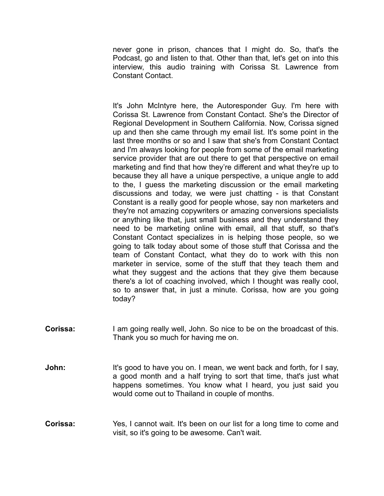never gone in prison, chances that I might do. So, that's the Podcast, go and listen to that. Other than that, let's get on into this interview, this audio training with Corissa St. Lawrence from Constant Contact.

 It's John McIntyre here, the Autoresponder Guy. I'm here with Corissa St. Lawrence from Constant Contact. She's the Director of Regional Development in Southern California. Now, Corissa signed up and then she came through my email list. It's some point in the last three months or so and I saw that she's from Constant Contact and I'm always looking for people from some of the email marketing service provider that are out there to get that perspective on email marketing and find that how they're different and what they're up to because they all have a unique perspective, a unique angle to add to the, I guess the marketing discussion or the email marketing discussions and today, we were just chatting - is that Constant Constant is a really good for people whose, say non marketers and they're not amazing copywriters or amazing conversions specialists or anything like that, just small business and they understand they need to be marketing online with email, all that stuff, so that's Constant Contact specializes in is helping those people, so we going to talk today about some of those stuff that Corissa and the team of Constant Contact, what they do to work with this non marketer in service, some of the stuff that they teach them and what they suggest and the actions that they give them because there's a lot of coaching involved, which I thought was really cool, so to answer that, in just a minute. Corissa, how are you going today?

- **Corissa:** I am going really well, John. So nice to be on the broadcast of this. Thank you so much for having me on.
- **John:** It's good to have you on. I mean, we went back and forth, for I say, a good month and a half trying to sort that time, that's just what happens sometimes. You know what I heard, you just said you would come out to Thailand in couple of months.
- **Corissa:** Yes, I cannot wait. It's been on our list for a long time to come and visit, so it's going to be awesome. Can't wait.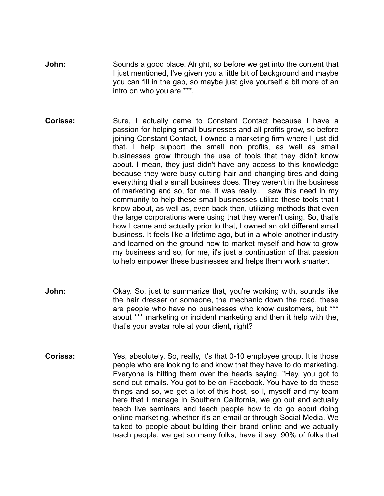- **John:** Sounds a good place. Alright, so before we get into the content that I just mentioned, I've given you a little bit of background and maybe you can fill in the gap, so maybe just give yourself a bit more of an intro on who you are \*\*\*.
- **Corissa:** Sure, I actually came to Constant Contact because I have a passion for helping small businesses and all profits grow, so before joining Constant Contact, I owned a marketing firm where I just did that. I help support the small non profits, as well as small businesses grow through the use of tools that they didn't know about. I mean, they just didn't have any access to this knowledge because they were busy cutting hair and changing tires and doing everything that a small business does. They weren't in the business of marketing and so, for me, it was really.. I saw this need in my community to help these small businesses utilize these tools that I know about, as well as, even back then, utilizing methods that even the large corporations were using that they weren't using. So, that's how I came and actually prior to that, I owned an old different small business. It feels like a lifetime ago, but in a whole another industry and learned on the ground how to market myself and how to grow my business and so, for me, it's just a continuation of that passion to help empower these businesses and helps them work smarter.
- **John:** Okay. So, just to summarize that, you're working with, sounds like the hair dresser or someone, the mechanic down the road, these are people who have no businesses who know customers, but \*\*\* about \*\*\* marketing or incident marketing and then it help with the, that's your avatar role at your client, right?
- **Corissa:** Yes, absolutely. So, really, it's that 0-10 employee group. It is those people who are looking to and know that they have to do marketing. Everyone is hitting them over the heads saying, "Hey, you got to send out emails. You got to be on Facebook. You have to do these things and so, we get a lot of this host, so I, myself and my team here that I manage in Southern California, we go out and actually teach live seminars and teach people how to do go about doing online marketing, whether it's an email or through Social Media. We talked to people about building their brand online and we actually teach people, we get so many folks, have it say, 90% of folks that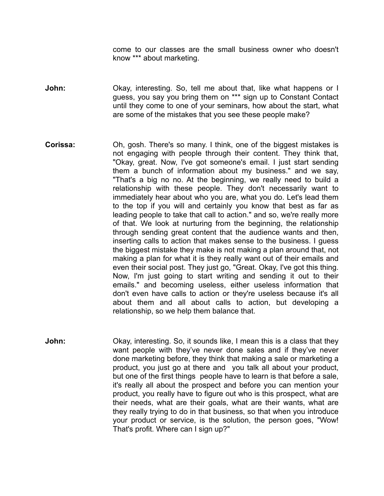come to our classes are the small business owner who doesn't know \*\*\* about marketing.

**John:** Okay, interesting. So, tell me about that, like what happens or I guess, you say you bring them on \*\*\* sign up to Constant Contact until they come to one of your seminars, how about the start, what are some of the mistakes that you see these people make?

- **Corissa:** Oh, gosh. There's so many. I think, one of the biggest mistakes is not engaging with people through their content. They think that, "Okay, great. Now, I've got someone's email. I just start sending them a bunch of information about my business." and we say, "That's a big no no. At the beginning, we really need to build a relationship with these people. They don't necessarily want to immediately hear about who you are, what you do. Let's lead them to the top if you will and certainly you know that best as far as leading people to take that call to action." and so, we're really more of that. We look at nurturing from the beginning, the relationship through sending great content that the audience wants and then, inserting calls to action that makes sense to the business. I guess the biggest mistake they make is not making a plan around that, not making a plan for what it is they really want out of their emails and even their social post. They just go, "Great. Okay, I've got this thing. Now, I'm just going to start writing and sending it out to their emails." and becoming useless, either useless information that don't even have calls to action or they're useless because it's all about them and all about calls to action, but developing a relationship, so we help them balance that.
- **John:** Okay, interesting. So, it sounds like, I mean this is a class that they want people with they've never done sales and if they've never done marketing before, they think that making a sale or marketing a product, you just go at there and you talk all about your product, but one of the first things people have to learn is that before a sale, it's really all about the prospect and before you can mention your product, you really have to figure out who is this prospect, what are their needs, what are their goals, what are their wants, what are they really trying to do in that business, so that when you introduce your product or service, is the solution, the person goes, "Wow! That's profit. Where can I sign up?"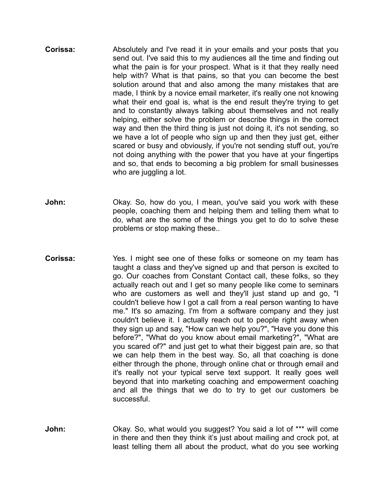- **Corissa:** Absolutely and I've read it in your emails and your posts that you send out. I've said this to my audiences all the time and finding out what the pain is for your prospect. What is it that they really need help with? What is that pains, so that you can become the best solution around that and also among the many mistakes that are made, I think by a novice email marketer, it's really one not knowing what their end goal is, what is the end result they're trying to get and to constantly always talking about themselves and not really helping, either solve the problem or describe things in the correct way and then the third thing is just not doing it, it's not sending, so we have a lot of people who sign up and then they just get, either scared or busy and obviously, if you're not sending stuff out, you're not doing anything with the power that you have at your fingertips and so, that ends to becoming a big problem for small businesses who are juggling a lot.
- **John:** Okay. So, how do you, I mean, you've said you work with these people, coaching them and helping them and telling them what to do, what are the some of the things you get to do to solve these problems or stop making these..
- **Corissa:** Yes. I might see one of these folks or someone on my team has taught a class and they've signed up and that person is excited to go. Our coaches from Constant Contact call, these folks, so they actually reach out and I get so many people like come to seminars who are customers as well and they'll just stand up and go. "I couldn't believe how I got a call from a real person wanting to have me." It's so amazing. I'm from a software company and they just couldn't believe it. I actually reach out to people right away when they sign up and say, "How can we help you?", "Have you done this before?", "What do you know about email marketing?", "What are you scared of?" and just get to what their biggest pain are, so that we can help them in the best way. So, all that coaching is done either through the phone, through online chat or through email and it's really not your typical serve text support. It really goes well beyond that into marketing coaching and empowerment coaching and all the things that we do to try to get our customers be successful.
- **John:** Okay. So, what would you suggest? You said a lot of \*\*\* will come in there and then they think it's just about mailing and crock pot, at least telling them all about the product, what do you see working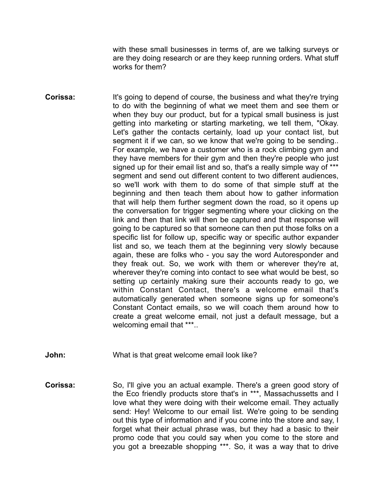with these small businesses in terms of, are we talking surveys or are they doing research or are they keep running orders. What stuff works for them?

- **Corissa:** It's going to depend of course, the business and what they're trying to do with the beginning of what we meet them and see them or when they buy our product, but for a typical small business is just getting into marketing or starting marketing, we tell them, "Okay. Let's gather the contacts certainly, load up your contact list, but segment it if we can, so we know that we're going to be sending.. For example, we have a customer who is a rock climbing gym and they have members for their gym and then they're people who just signed up for their email list and so, that's a really simple way of \*\*\* segment and send out different content to two different audiences, so we'll work with them to do some of that simple stuff at the beginning and then teach them about how to gather information that will help them further segment down the road, so it opens up the conversation for trigger segmenting where your clicking on the link and then that link will then be captured and that response will going to be captured so that someone can then put those folks on a specific list for follow up, specific way or specific author expander list and so, we teach them at the beginning very slowly because again, these are folks who - you say the word Autoresponder and they freak out. So, we work with them or wherever they're at, wherever they're coming into contact to see what would be best, so setting up certainly making sure their accounts ready to go, we within Constant Contact, there's a welcome email that's automatically generated when someone signs up for someone's Constant Contact emails, so we will coach them around how to create a great welcome email, not just a default message, but a welcoming email that \*\*\*..
- **John:** What is that great welcome email look like?
- **Corissa:** So, I'll give you an actual example. There's a green good story of the Eco friendly products store that's in \*\*\*, Massachussetts and I love what they were doing with their welcome email. They actually send: Hey! Welcome to our email list. We're going to be sending out this type of information and if you come into the store and say, I forget what their actual phrase was, but they had a basic to their promo code that you could say when you come to the store and you got a breezable shopping \*\*\*. So, it was a way that to drive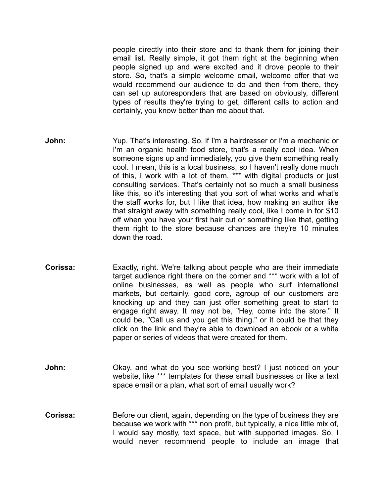people directly into their store and to thank them for joining their email list. Really simple, it got them right at the beginning when people signed up and were excited and it drove people to their store. So, that's a simple welcome email, welcome offer that we would recommend our audience to do and then from there, they can set up autoresponders that are based on obviously, different types of results they're trying to get, different calls to action and certainly, you know better than me about that.

- **John:** Yup. That's interesting. So, if I'm a hairdresser or I'm a mechanic or I'm an organic health food store, that's a really cool idea. When someone signs up and immediately, you give them something really cool. I mean, this is a local business, so I haven't really done much of this, I work with a lot of them, \*\*\* with digital products or just consulting services. That's certainly not so much a small business like this, so it's interesting that you sort of what works and what's the staff works for, but I like that idea, how making an author like that straight away with something really cool, like I come in for \$10 off when you have your first hair cut or something like that, getting them right to the store because chances are they're 10 minutes down the road.
- **Corissa:** Exactly, right. We're talking about people who are their immediate target audience right there on the corner and \*\*\* work with a lot of online businesses, as well as people who surf international markets, but certainly, good core, agroup of our customers are knocking up and they can just offer something great to start to engage right away. It may not be, "Hey, come into the store." It could be, "Call us and you get this thing." or it could be that they click on the link and they're able to download an ebook or a white paper or series of videos that were created for them.
- **John:** Okay, and what do you see working best? I just noticed on your website, like \*\*\* templates for these small businesses or like a text space email or a plan, what sort of email usually work?
- **Corissa:** Before our client, again, depending on the type of business they are because we work with \*\*\* non profit, but typically, a nice little mix of, I would say mostly, text space, but with supported images. So, I would never recommend people to include an image that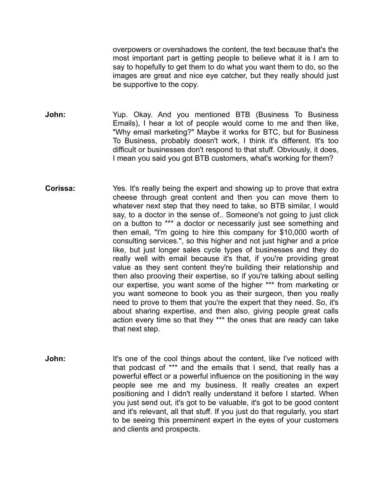overpowers or overshadows the content, the text because that's the most important part is getting people to believe what it is I am to say to hopefully to get them to do what you want them to do, so the images are great and nice eye catcher, but they really should just be supportive to the copy.

- **John:** Yup. Okay. And you mentioned BTB (Business To Business Emails), I hear a lot of people would come to me and then like, "Why email marketing?" Maybe it works for BTC, but for Business To Business, probably doesn't work, I think it's different. It's too difficult or businesses don't respond to that stuff. Obviously, it does, I mean you said you got BTB customers, what's working for them?
- **Corissa:** Yes. It's really being the expert and showing up to prove that extra cheese through great content and then you can move them to whatever next step that they need to take, so BTB similar, I would say, to a doctor in the sense of.. Someone's not going to just click on a button to \*\*\* a doctor or necessarily just see something and then email, "I'm going to hire this company for \$10,000 worth of consulting services.", so this higher and not just higher and a price like, but just longer sales cycle types of businesses and they do really well with email because it's that, if you're providing great value as they sent content they're building their relationship and then also prooving their expertise, so if you're talking about selling our expertise, you want some of the higher \*\*\* from marketing or you want someone to book you as their surgeon, then you really need to prove to them that you're the expert that they need. So, it's about sharing expertise, and then also, giving people great calls action every time so that they \*\*\* the ones that are ready can take that next step.
- **John:** It's one of the cool things about the content, like I've noticed with that podcast of \*\*\* and the emails that I send, that really has a powerful effect or a powerful influence on the positioning in the way people see me and my business. It really creates an expert positioning and I didn't really understand it before I started. When you just send out, it's got to be valuable, it's got to be good content and it's relevant, all that stuff. If you just do that regularly, you start to be seeing this preeminent expert in the eyes of your customers and clients and prospects.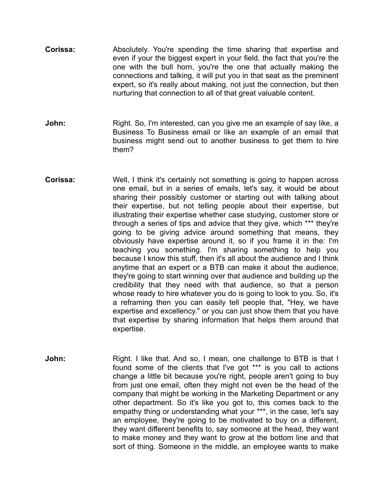- **Corissa:** Absolutely. You're spending the time sharing that expertise and even if your the biggest expert in your field, the fact that you're the one with the bull horn, you're the one that actually making the connections and talking, it will put you in that seat as the preminent expert, so it's really about making, not just the connection, but then nurturing that connection to all of that great valuable content.
- **John:** Right. So, I'm interested, can you give me an example of say like, a Business To Business email or like an example of an email that business might send out to another business to get them to hire them?
- **Corissa:** Well, I think it's certainly not something is going to happen across one email, but in a series of emails, let's say, it would be about sharing their possibly customer or starting out with talking about their expertise, but not telling people about their expertise, but illustrating their expertise whether case studying, customer store or through a series of tips and advice that they give, which \*\*\* they're going to be giving advice around something that means, they obviously have expertise around it, so if you frame it in the: I'm teaching you something. I'm sharing something to help you because I know this stuff, then it's all about the audience and I think anytime that an expert or a BTB can make it about the audience, they're going to start winning over that audience and building up the credibility that they need with that audience, so that a person whose ready to hire whatever you do is going to look to you. So, it's a reframing then you can easily tell people that, "Hey, we have expertise and excellency." or you can just show them that you have that expertise by sharing information that helps them around that expertise.
- **John:** Right. I like that. And so, I mean, one challenge to BTB is that I found some of the clients that I've got \*\*\* is you call to actions change a little bit because you're right, people aren't going to buy from just one email, often they might not even be the head of the company that might be working in the Marketing Department or any other department. So it's like you got to, this comes back to the empathy thing or understanding what your \*\*\*, in the case, let's say an employee, they're going to be motivated to buy on a different, they want different benefits to, say someone at the head, they want to make money and they want to grow at the bottom line and that sort of thing. Someone in the middle, an employee wants to make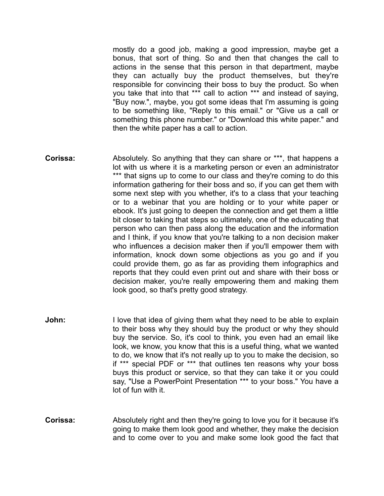mostly do a good job, making a good impression, maybe get a bonus, that sort of thing. So and then that changes the call to actions in the sense that this person in that department, maybe they can actually buy the product themselves, but they're responsible for convincing their boss to buy the product. So when you take that into that \*\*\* call to action \*\*\* and instead of saying, "Buy now.", maybe, you got some ideas that I'm assuming is going to be something like, "Reply to this email." or "Give us a call or something this phone number." or "Download this white paper." and then the white paper has a call to action.

- **Corissa:** Absolutely. So anything that they can share or \*\*\*, that happens a lot with us where it is a marketing person or even an administrator \*\*\* that signs up to come to our class and they're coming to do this information gathering for their boss and so, if you can get them with some next step with you whether, it's to a class that your teaching or to a webinar that you are holding or to your white paper or ebook. It's just going to deepen the connection and get them a little bit closer to taking that steps so ultimately, one of the educating that person who can then pass along the education and the information and I think, if you know that you're talking to a non decision maker who influences a decision maker then if you'll empower them with information, knock down some objections as you go and if you could provide them, go as far as providing them infographics and reports that they could even print out and share with their boss or decision maker, you're really empowering them and making them look good, so that's pretty good strategy.
- **John:** I love that idea of giving them what they need to be able to explain to their boss why they should buy the product or why they should buy the service. So, it's cool to think, you even had an email like look, we know, you know that this is a useful thing, what we wanted to do, we know that it's not really up to you to make the decision, so if \*\*\* special PDF or \*\*\* that outlines ten reasons why your boss buys this product or service, so that they can take it or you could say, "Use a PowerPoint Presentation \*\*\* to your boss." You have a lot of fun with it.
- **Corissa:** Absolutely right and then they're going to love you for it because it's going to make them look good and whether, they make the decision and to come over to you and make some look good the fact that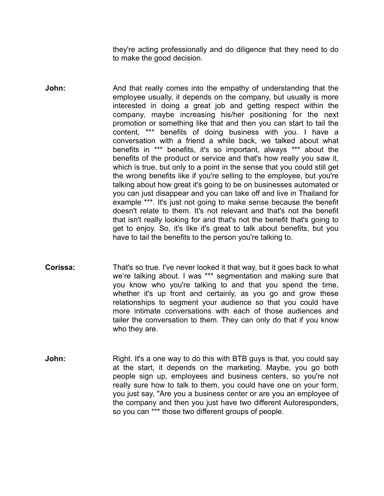they're acting professionally and do diligence that they need to do to make the good decision.

- **John:** And that really comes into the empathy of understanding that the employee usually, it depends on the company, but usually is more interested in doing a great job and getting respect within the company, maybe increasing his/her positioning for the next promotion or something like that and then you can start to tail the content, \*\*\* benefits of doing business with you. I have a conversation with a friend a while back, we talked about what benefits in \*\*\* benefits, it's so important, always \*\*\* about the benefits of the product or service and that's how really you saw it, which is true, but only to a point in the sense that you could still get the wrong benefits like if you're selling to the employee, but you're talking about how great it's going to be on businesses automated or you can just disappear and you can take off and live in Thailand for example \*\*\*. It's just not going to make sense because the benefit doesn't relate to them. It's not relevant and that's not the benefit that isn't really looking for and that's not the benefit that's going to get to enjoy. So, it's like it's great to talk about benefits, but you have to tail the benefits to the person you're talking to.
- **Corissa:** That's so true. I've never looked it that way, but it goes back to what we're talking about. I was \*\*\* segmentation and making sure that you know who you're talking to and that you spend the time, whether it's up front and certainly, as you go and grow these relationships to segment your audience so that you could have more intimate conversations with each of those audiences and tailer the conversation to them. They can only do that if you know who they are.
- **John:** Right. It's a one way to do this with BTB guys is that, you could say at the start, it depends on the marketing. Maybe, you go both people sign up, employees and business centers, so you're not really sure how to talk to them, you could have one on your form, you just say, "Are you a business center or are you an employee of the company and then you just have two different Autoresponders, so you can \*\*\* those two different groups of people.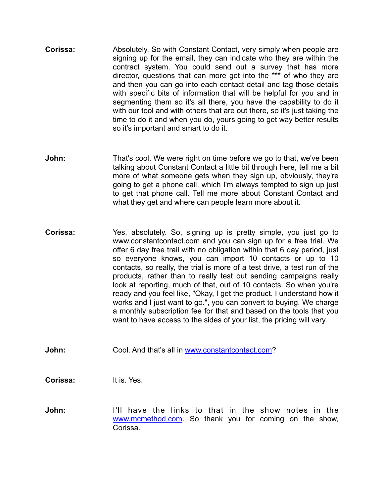- **Corissa:** Absolutely. So with Constant Contact, very simply when people are signing up for the email, they can indicate who they are within the contract system. You could send out a survey that has more director, questions that can more get into the \*\*\* of who they are and then you can go into each contact detail and tag those details with specific bits of information that will be helpful for you and in segmenting them so it's all there, you have the capability to do it with our tool and with others that are out there, so it's just taking the time to do it and when you do, yours going to get way better results so it's important and smart to do it.
- **John:** That's cool. We were right on time before we go to that, we've been talking about Constant Contact a little bit through here, tell me a bit more of what someone gets when they sign up, obviously, they're going to get a phone call, which I'm always tempted to sign up just to get that phone call. Tell me more about Constant Contact and what they get and where can people learn more about it.
- **Corissa:** Yes, absolutely. So, signing up is pretty simple, you just go to www.constantcontact.com and you can sign up for a free trial. We offer 6 day free trail with no obligation within that 6 day period, just so everyone knows, you can import 10 contacts or up to 10 contacts, so really, the trial is more of a test drive, a test run of the products, rather than to really test out sending campaigns really look at reporting, much of that, out of 10 contacts. So when you're ready and you feel like, "Okay, I get the product. I understand how it works and I just want to go.", you can convert to buying. We charge a monthly subscription fee for that and based on the tools that you want to have access to the sides of your list, the pricing will vary.
- **John:** Cool. And that's all in www.constantcontact.com?

**Corissa:** It is. Yes.

**John:** I'll have the links to that in the show notes in the www.mcmethod.com. So thank you for coming on the show, Corissa.